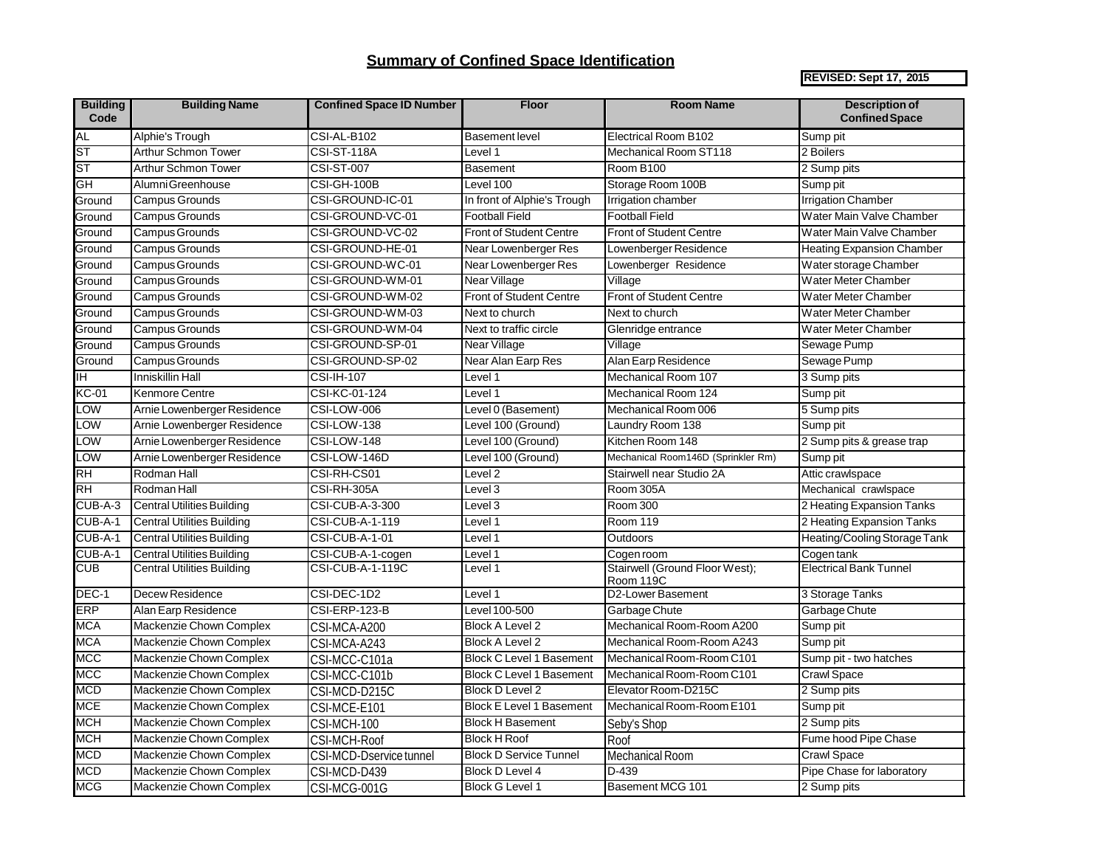## **Summary of Confined Space Identification**

**REVISED: Sept 17, 2015**

| <b>Building</b><br>Code   | <b>Building Name</b>              | <b>Confined Space ID Number</b>   | <b>Floor</b>                    | <b>Room Name</b>                            | <b>Description of</b><br><b>Confined Space</b> |
|---------------------------|-----------------------------------|-----------------------------------|---------------------------------|---------------------------------------------|------------------------------------------------|
| AL                        | Alphie's Trough                   | CSI-AL-B102                       | <b>Basement level</b>           | Electrical Room B102                        | Sump pit                                       |
| ST                        | Arthur Schmon Tower               | <b>CSI-ST-118A</b>                | Level 1                         | Mechanical Room ST118                       | 2 Boilers                                      |
| ST                        | Arthur Schmon Tower               | <b>CSI-ST-007</b>                 | <b>Basement</b>                 | Room B100                                   | 2 Sump pits                                    |
| $\overline{\mathsf{GH}}$  | Alumni Greenhouse                 | <b>CSI-GH-100B</b>                | Level 100                       | Storage Room 100B                           | Sump pit                                       |
| Ground                    | Campus Grounds                    | CSI-GROUND-IC-01                  | In front of Alphie's Trough     | Irrigation chamber                          | <b>Irrigation Chamber</b>                      |
| Ground                    | Campus Grounds                    | CSI-GROUND-VC-01                  | <b>Football Field</b>           | <b>Football Field</b>                       | Water Main Valve Chamber                       |
| Ground                    | Campus Grounds                    | CSI-GROUND-VC-02                  | <b>Front of Student Centre</b>  | <b>Front of Student Centre</b>              | Water Main Valve Chamber                       |
| Ground                    | Campus Grounds                    | CSI-GROUND-HE-01                  | Near Lowenberger Res            | Lowenberger Residence                       | <b>Heating Expansion Chamber</b>               |
| Ground                    | Campus Grounds                    | CSI-GROUND-WC-01                  | Near Lowenberger Res            | Lowenberger Residence                       | Water storage Chamber                          |
| Ground                    | Campus Grounds                    | CSI-GROUND-WM-01                  | Near Village                    | Village                                     | Water Meter Chamber                            |
| Ground                    | Campus Grounds                    | CSI-GROUND-WM-02                  | <b>Front of Student Centre</b>  | <b>Front of Student Centre</b>              | Water Meter Chamber                            |
| Ground                    | Campus Grounds                    | CSI-GROUND-WM-03                  | Next to church                  | Next to church                              | Water Meter Chamber                            |
| Ground                    | Campus Grounds                    | CSI-GROUND-WM-04                  | Next to traffic circle          | Glenridge entrance                          | Water Meter Chamber                            |
| Ground                    | <b>Campus Grounds</b>             | CSI-GROUND-SP-01                  | Near Village                    | Village                                     | Sewage Pump                                    |
| Ground                    | Campus Grounds                    | CSI-GROUND-SP-02                  | Near Alan Earp Res              | Alan Earp Residence                         | Sewage Pump                                    |
| IH                        | Inniskillin Hall                  | <b>CSI-IH-107</b>                 | Level 1                         | Mechanical Room 107                         | 3 Sump pits                                    |
| <b>KC-01</b>              | <b>Kenmore Centre</b>             | CSI-KC-01-124                     | Level 1                         | Mechanical Room 124                         | Sump pit                                       |
| LOW                       | Arnie Lowenberger Residence       | CSI-LOW-006                       | Level 0 (Basement)              | Mechanical Room 006                         | 5 Sump pits                                    |
| LOW                       | Arnie Lowenberger Residence       | CSI-LOW-138                       | Level 100 (Ground)              | Laundry Room 138                            | Sump pit                                       |
| $_{\text{row}}$           | Arnie Lowenberger Residence       | CSI-LOW-148                       | Level 100 (Ground)              | Kitchen Room 148                            | 2 Sump pits & grease trap                      |
| LOW                       | Arnie Lowenberger Residence       | CSI-LOW-146D                      | Level 100 (Ground)              | Mechanical Room146D (Sprinkler Rm)          | Sump pit                                       |
| $\overline{\mathsf{R}}$ H | Rodman Hall                       | CSI-RH-CS01                       | Level 2                         | Stairwell near Studio 2A                    | Attic crawlspace                               |
| <b>RH</b>                 | Rodman Hall                       | CSI-RH-305A                       | Level 3                         | Room 305A                                   | Mechanical crawlspace                          |
| CUB-A-3                   | <b>Central Utilities Building</b> | CSI-CUB-A-3-300                   | Level 3                         | Room 300                                    | 2 Heating Expansion Tanks                      |
| CUB-A-1                   | <b>Central Utilities Building</b> | <b>CSI-CUB-A-1-119</b>            | Level 1                         | <b>Room 119</b>                             | 2 Heating Expansion Tanks                      |
| CUB-A-1                   | <b>Central Utilities Building</b> | CSI-CUB-A-1-01                    | Level 1                         | Outdoors                                    | Heating/Cooling Storage Tank                   |
| CUB-A-1                   | <b>Central Utilities Building</b> | CSI-CUB-A-1-cogen                 | Level 1                         | Cogen room                                  | Cogen tank                                     |
| <b>CUB</b>                | Central Utilities Building        | CSI-CUB-A-1-119C                  | Level 1                         | Stairwell (Ground Floor West);<br>Room 119C | <b>Electrical Bank Tunnel</b>                  |
| DEC-1                     | Decew Residence                   | CSI-DEC-1D2                       | Level 1                         | D2-Lower Basement                           | 3 Storage Tanks                                |
| <b>ERP</b>                | Alan Earp Residence               | CSI-ERP-123-B                     | Level 100-500                   | Garbage Chute                               | Garbage Chute                                  |
| <b>MCA</b>                | Mackenzie Chown Complex           | CSI-MCA-A200                      | <b>Block A Level 2</b>          | Mechanical Room-Room A200                   | Sump pit                                       |
| <b>MCA</b>                | Mackenzie Chown Complex           | $\overline{\text{CSI}}$ -MCA-A243 | <b>Block A Level 2</b>          | Mechanical Room-Room A243                   | Sump pit                                       |
| <b>MCC</b>                | Mackenzie Chown Complex           | CSI-MCC-C101a                     | <b>Block C Level 1 Basement</b> | Mechanical Room-Room C101                   | Sump pit - two hatches                         |
| <b>MCC</b>                | Mackenzie Chown Complex           | CSI-MCC-C101b                     | <b>Block C Level 1 Basement</b> | Mechanical Room-Room C101                   | Crawl Space                                    |
| <b>MCD</b>                | Mackenzie Chown Complex           | CSI-MCD-D215C                     | <b>Block D Level 2</b>          | Elevator Room-D215C                         | 2 Sump pits                                    |
| <b>MCE</b>                | Mackenzie Chown Complex           | CSI-MCE-E101                      | <b>Block E Level 1 Basement</b> | Mechanical Room-Room E101                   | Sump pit                                       |
| <b>MCH</b>                | Mackenzie Chown Complex           | CSI-MCH-100                       | <b>Block H Basement</b>         | Seby's Shop                                 | 2 Sump pits                                    |
| <b>MCH</b>                | Mackenzie Chown Complex           | CSI-MCH-Roof                      | <b>Block H Roof</b>             | Roof                                        | Fume hood Pipe Chase                           |
| MCD                       | Mackenzie Chown Complex           | CSI-MCD-Dservice tunnel           | <b>Block D Service Tunnel</b>   | Mechanical Room                             | <b>Crawl Space</b>                             |
| <b>MCD</b>                | Mackenzie Chown Complex           | CSI-MCD-D439                      | <b>Block D Level 4</b>          | $D-439$                                     | Pipe Chase for laboratory                      |
| <b>MCG</b>                | Mackenzie Chown Complex           | CSI-MCG-001G                      | <b>Block G Level 1</b>          | Basement MCG 101                            | 2 Sump pits                                    |